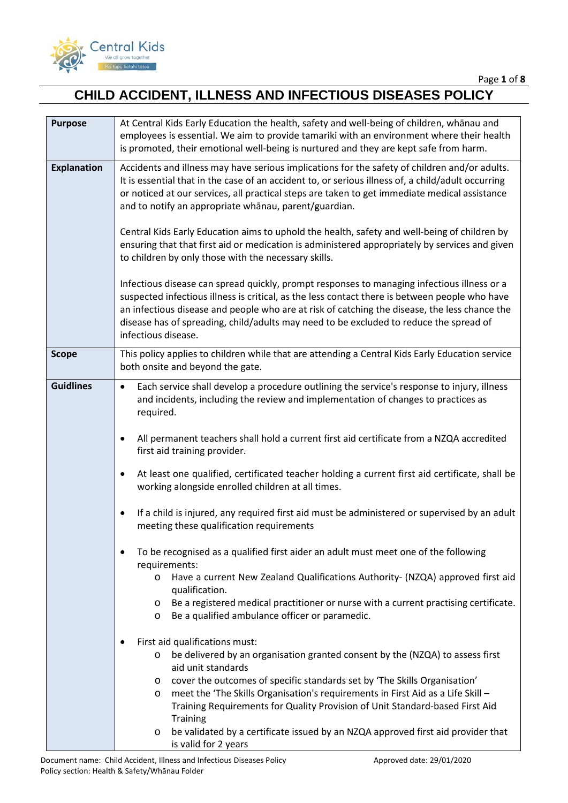

| <b>Purpose</b>     | At Central Kids Early Education the health, safety and well-being of children, whānau and<br>employees is essential. We aim to provide tamariki with an environment where their health                                                                                                                                                                                                                                                                                                                                                                                                                                                                                                                                                                                                                                                                                                                                                                                                                                                                                                                                                                                                                                                                                                                                                                                                                                                                                                                                                                                                                                       |
|--------------------|------------------------------------------------------------------------------------------------------------------------------------------------------------------------------------------------------------------------------------------------------------------------------------------------------------------------------------------------------------------------------------------------------------------------------------------------------------------------------------------------------------------------------------------------------------------------------------------------------------------------------------------------------------------------------------------------------------------------------------------------------------------------------------------------------------------------------------------------------------------------------------------------------------------------------------------------------------------------------------------------------------------------------------------------------------------------------------------------------------------------------------------------------------------------------------------------------------------------------------------------------------------------------------------------------------------------------------------------------------------------------------------------------------------------------------------------------------------------------------------------------------------------------------------------------------------------------------------------------------------------------|
|                    | is promoted, their emotional well-being is nurtured and they are kept safe from harm.                                                                                                                                                                                                                                                                                                                                                                                                                                                                                                                                                                                                                                                                                                                                                                                                                                                                                                                                                                                                                                                                                                                                                                                                                                                                                                                                                                                                                                                                                                                                        |
| <b>Explanation</b> | Accidents and illness may have serious implications for the safety of children and/or adults.<br>It is essential that in the case of an accident to, or serious illness of, a child/adult occurring<br>or noticed at our services, all practical steps are taken to get immediate medical assistance<br>and to notify an appropriate whanau, parent/guardian.                                                                                                                                                                                                                                                                                                                                                                                                                                                                                                                                                                                                                                                                                                                                                                                                                                                                                                                                                                                                                                                                                                                                                                                                                                                                |
|                    | Central Kids Early Education aims to uphold the health, safety and well-being of children by<br>ensuring that that first aid or medication is administered appropriately by services and given<br>to children by only those with the necessary skills.                                                                                                                                                                                                                                                                                                                                                                                                                                                                                                                                                                                                                                                                                                                                                                                                                                                                                                                                                                                                                                                                                                                                                                                                                                                                                                                                                                       |
|                    | Infectious disease can spread quickly, prompt responses to managing infectious illness or a<br>suspected infectious illness is critical, as the less contact there is between people who have<br>an infectious disease and people who are at risk of catching the disease, the less chance the<br>disease has of spreading, child/adults may need to be excluded to reduce the spread of<br>infectious disease.                                                                                                                                                                                                                                                                                                                                                                                                                                                                                                                                                                                                                                                                                                                                                                                                                                                                                                                                                                                                                                                                                                                                                                                                              |
| <b>Scope</b>       | This policy applies to children while that are attending a Central Kids Early Education service<br>both onsite and beyond the gate.                                                                                                                                                                                                                                                                                                                                                                                                                                                                                                                                                                                                                                                                                                                                                                                                                                                                                                                                                                                                                                                                                                                                                                                                                                                                                                                                                                                                                                                                                          |
| <b>Guidlines</b>   | Each service shall develop a procedure outlining the service's response to injury, illness<br>$\bullet$<br>and incidents, including the review and implementation of changes to practices as<br>required.<br>All permanent teachers shall hold a current first aid certificate from a NZQA accredited<br>٠<br>first aid training provider.<br>At least one qualified, certificated teacher holding a current first aid certificate, shall be<br>$\bullet$<br>working alongside enrolled children at all times.<br>If a child is injured, any required first aid must be administered or supervised by an adult<br>$\bullet$<br>meeting these qualification requirements<br>To be recognised as a qualified first aider an adult must meet one of the following<br>requirements:<br>Have a current New Zealand Qualifications Authority- (NZQA) approved first aid<br>$\circ$<br>qualification.<br>Be a registered medical practitioner or nurse with a current practising certificate.<br>$\circ$<br>Be a qualified ambulance officer or paramedic.<br>$\circ$<br>First aid qualifications must:<br>be delivered by an organisation granted consent by the (NZQA) to assess first<br>O<br>aid unit standards<br>cover the outcomes of specific standards set by 'The Skills Organisation'<br>$\circ$<br>meet the 'The Skills Organisation's requirements in First Aid as a Life Skill -<br>$\circ$<br>Training Requirements for Quality Provision of Unit Standard-based First Aid<br><b>Training</b><br>be validated by a certificate issued by an NZQA approved first aid provider that<br>$\circ$<br>is valid for 2 years |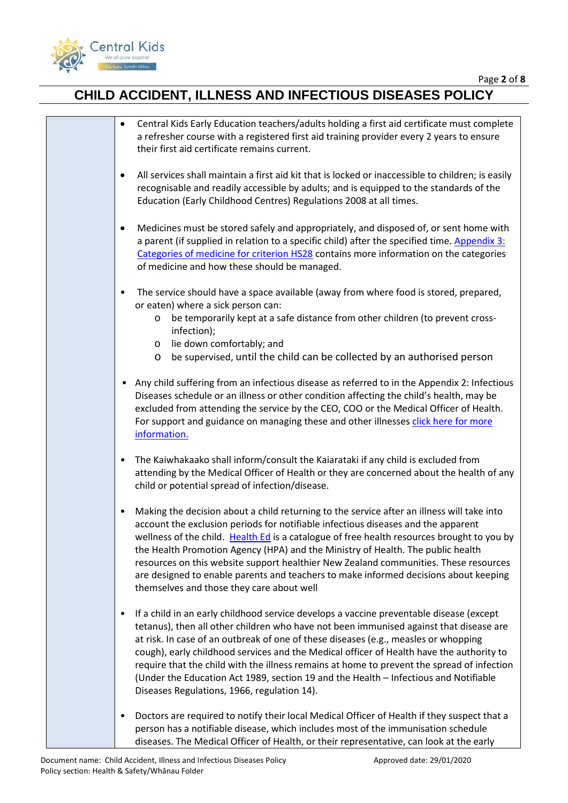

| Central Kids Early Education teachers/adults holding a first aid certificate must complete<br>$\bullet$<br>a refresher course with a registered first aid training provider every 2 years to ensure<br>their first aid certificate remains current.                                                                                                                                                                                                                                                                                                                                                            |
|----------------------------------------------------------------------------------------------------------------------------------------------------------------------------------------------------------------------------------------------------------------------------------------------------------------------------------------------------------------------------------------------------------------------------------------------------------------------------------------------------------------------------------------------------------------------------------------------------------------|
| All services shall maintain a first aid kit that is locked or inaccessible to children; is easily<br>$\bullet$<br>recognisable and readily accessible by adults; and is equipped to the standards of the<br>Education (Early Childhood Centres) Regulations 2008 at all times.                                                                                                                                                                                                                                                                                                                                 |
| Medicines must be stored safely and appropriately, and disposed of, or sent home with<br>$\bullet$<br>a parent (if supplied in relation to a specific child) after the specified time. Appendix 3:<br>Categories of medicine for criterion HS28 contains more information on the categories<br>of medicine and how these should be managed.                                                                                                                                                                                                                                                                    |
| The service should have a space available (away from where food is stored, prepared,<br>$\bullet$<br>or eaten) where a sick person can:<br>be temporarily kept at a safe distance from other children (to prevent cross-<br>$\circ$<br>infection);<br>lie down comfortably; and<br>$\circ$<br>be supervised, until the child can be collected by an authorised person<br>$\circ$                                                                                                                                                                                                                               |
| Any child suffering from an infectious disease as referred to in the Appendix 2: Infectious<br>$\bullet$<br>Diseases schedule or an illness or other condition affecting the child's health, may be<br>excluded from attending the service by the CEO, COO or the Medical Officer of Health.<br>For support and guidance on managing these and other illnesses click here for more<br>information.                                                                                                                                                                                                             |
| The Kaiwhakaako shall inform/consult the Kaiarataki if any child is excluded from<br>$\bullet$<br>attending by the Medical Officer of Health or they are concerned about the health of any<br>child or potential spread of infection/disease.                                                                                                                                                                                                                                                                                                                                                                  |
| Making the decision about a child returning to the service after an illness will take into<br>٠<br>account the exclusion periods for notifiable infectious diseases and the apparent<br>wellness of the child. Health Ed is a catalogue of free health resources brought to you by<br>the Health Promotion Agency (HPA) and the Ministry of Health. The public health<br>resources on this website support healthier New Zealand communities. These resources<br>are designed to enable parents and teachers to make informed decisions about keeping<br>themselves and those they care about well             |
| If a child in an early childhood service develops a vaccine preventable disease (except<br>٠<br>tetanus), then all other children who have not been immunised against that disease are<br>at risk. In case of an outbreak of one of these diseases (e.g., measles or whopping<br>cough), early childhood services and the Medical officer of Health have the authority to<br>require that the child with the illness remains at home to prevent the spread of infection<br>(Under the Education Act 1989, section 19 and the Health - Infectious and Notifiable<br>Diseases Regulations, 1966, regulation 14). |
| Doctors are required to notify their local Medical Officer of Health if they suspect that a<br>٠<br>person has a notifiable disease, which includes most of the immunisation schedule<br>diseases. The Medical Officer of Health, or their representative, can look at the early                                                                                                                                                                                                                                                                                                                               |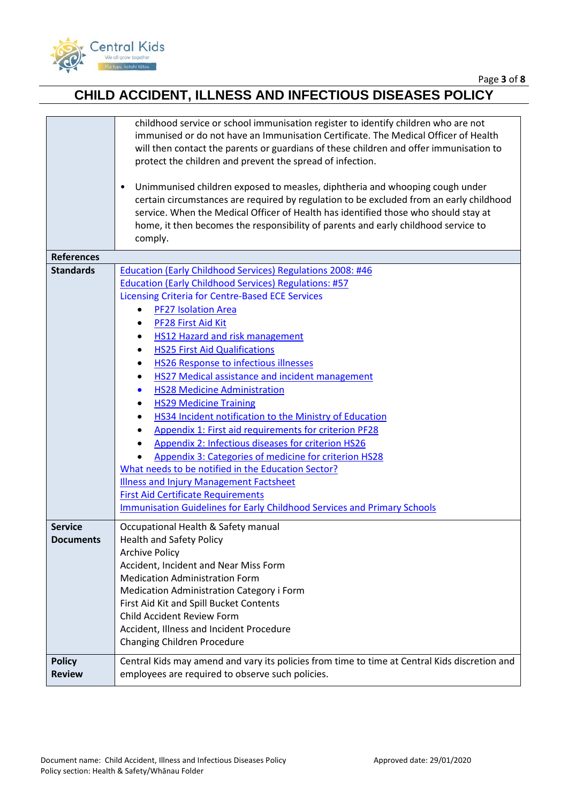

|                                    | childhood service or school immunisation register to identify children who are not<br>immunised or do not have an Immunisation Certificate. The Medical Officer of Health<br>will then contact the parents or guardians of these children and offer immunisation to<br>protect the children and prevent the spread of infection.<br>Unimmunised children exposed to measles, diphtheria and whooping cough under<br>$\bullet$<br>certain circumstances are required by regulation to be excluded from an early childhood<br>service. When the Medical Officer of Health has identified those who should stay at<br>home, it then becomes the responsibility of parents and early childhood service to<br>comply.                                                                                                                                                                                                                                                                               |
|------------------------------------|------------------------------------------------------------------------------------------------------------------------------------------------------------------------------------------------------------------------------------------------------------------------------------------------------------------------------------------------------------------------------------------------------------------------------------------------------------------------------------------------------------------------------------------------------------------------------------------------------------------------------------------------------------------------------------------------------------------------------------------------------------------------------------------------------------------------------------------------------------------------------------------------------------------------------------------------------------------------------------------------|
| <b>References</b>                  |                                                                                                                                                                                                                                                                                                                                                                                                                                                                                                                                                                                                                                                                                                                                                                                                                                                                                                                                                                                                |
| <b>Standards</b>                   | Education (Early Childhood Services) Regulations 2008: #46<br><b>Education (Early Childhood Services) Regulations: #57</b><br><b>Licensing Criteria for Centre-Based ECE Services</b><br><b>PF27 Isolation Area</b><br>PF28 First Aid Kit<br>$\bullet$<br>HS12 Hazard and risk management<br><b>HS25 First Aid Qualifications</b><br><b>HS26 Response to infectious illnesses</b><br>HS27 Medical assistance and incident management<br><b>HS28 Medicine Administration</b><br><b>HS29 Medicine Training</b><br><b>HS34 Incident notification to the Ministry of Education</b><br>Appendix 1: First aid requirements for criterion PF28<br>Appendix 2: Infectious diseases for criterion HS26<br>Appendix 3: Categories of medicine for criterion HS28<br>What needs to be notified in the Education Sector?<br><b>Illness and Injury Management Factsheet</b><br><b>First Aid Certificate Requirements</b><br><b>Immunisation Guidelines for Early Childhood Services and Primary Schools</b> |
| <b>Service</b><br><b>Documents</b> | Occupational Health & Safety manual<br><b>Health and Safety Policy</b><br><b>Archive Policy</b><br>Accident, Incident and Near Miss Form<br><b>Medication Administration Form</b><br>Medication Administration Category i Form<br>First Aid Kit and Spill Bucket Contents<br>Child Accident Review Form<br>Accident, Illness and Incident Procedure<br>Changing Children Procedure                                                                                                                                                                                                                                                                                                                                                                                                                                                                                                                                                                                                             |
| <b>Policy</b><br><b>Review</b>     | Central Kids may amend and vary its policies from time to time at Central Kids discretion and<br>employees are required to observe such policies.                                                                                                                                                                                                                                                                                                                                                                                                                                                                                                                                                                                                                                                                                                                                                                                                                                              |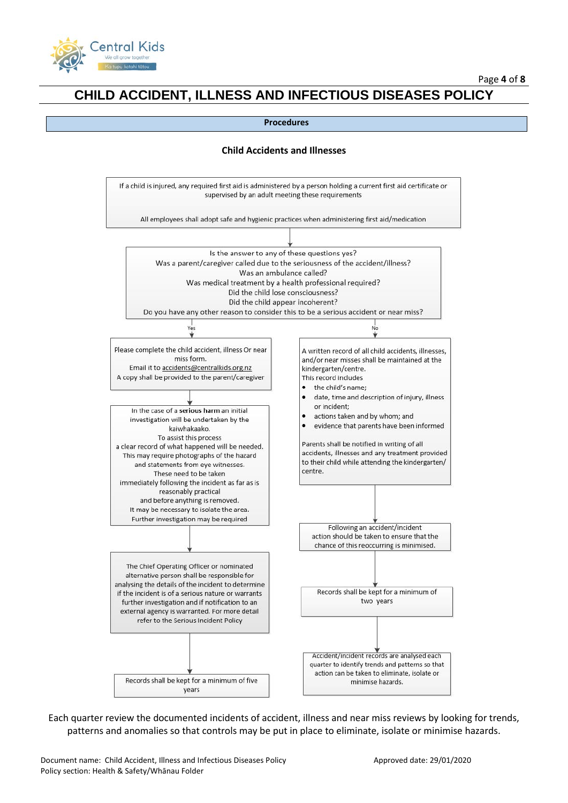



#### **Child Accidents and Illnesses**



Each quarter review the documented incidents of accident, illness and near miss reviews by looking for trends, patterns and anomalies so that controls may be put in place to eliminate, isolate or minimise hazards.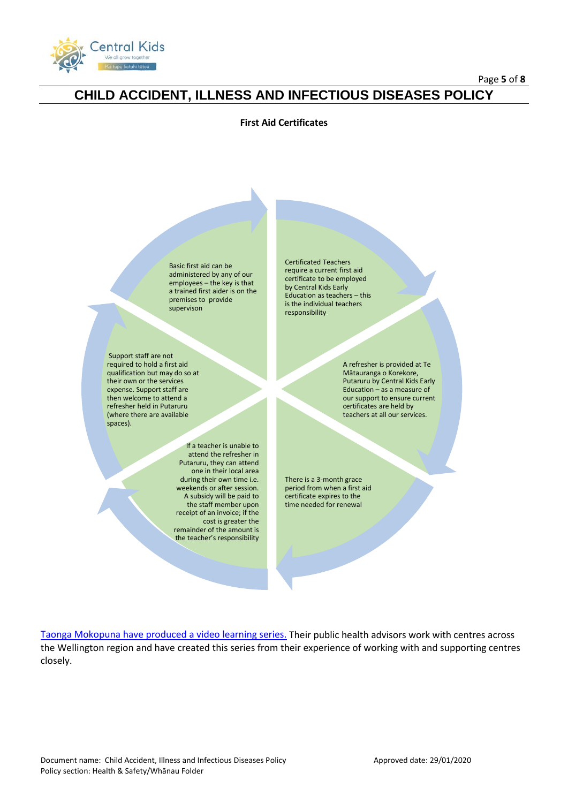

### **First Aid Certificates**

Basic first aid can be administered by any of our employees – the key is that a trained first aider is on the premises to provide supervison

Support staff are not required to hold a first aid qualification but may do so at their own or the services expense. Support staff are then welcome to attend a refresher held in Putaruru (where there are available spaces).

> If a teacher is unable to attend the refresher in Putaruru, they can attend one in their local area during their own time i.e. weekends or after session. A subsidy will be paid to the staff member upon receipt of an invoice; if the cost is greater the remainder of the amount is the teacher's responsibility

Certificated Teachers require a current first aid certificate to be employed by Central Kids Early Education as teachers – this is the individual teachers responsibility.

> A refresher is provided at Te Mātauranga o Korekore, Putaruru by Central Kids Early Education – as a measure of our support to ensure current certificates are held by teachers at all our services.

There is a 3-month grace period from when a first aid certificate expires to the time needed for renewal

[Taonga Mokopuna have produced a video learning series.](http://www.rph.org.nz/public-health-topics/early-childhood-centres/taonga-mokopuna/) Their public health advisors work with centres across the Wellington region and have created this series from their experience of working with and supporting centres closely.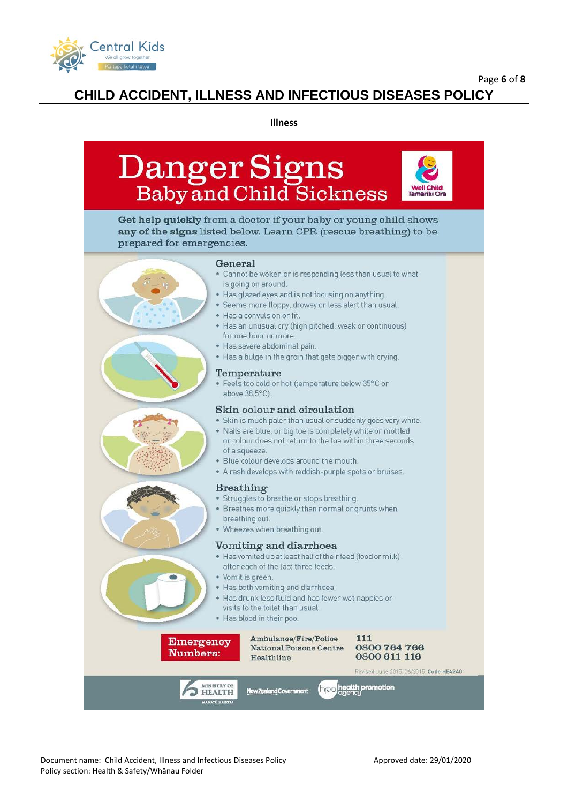

#### **Illness**



Get help quickly from a doctor if your baby or young child shows any of the signs listed below. Learn CPR (rescue breathing) to be prepared for emergencies.

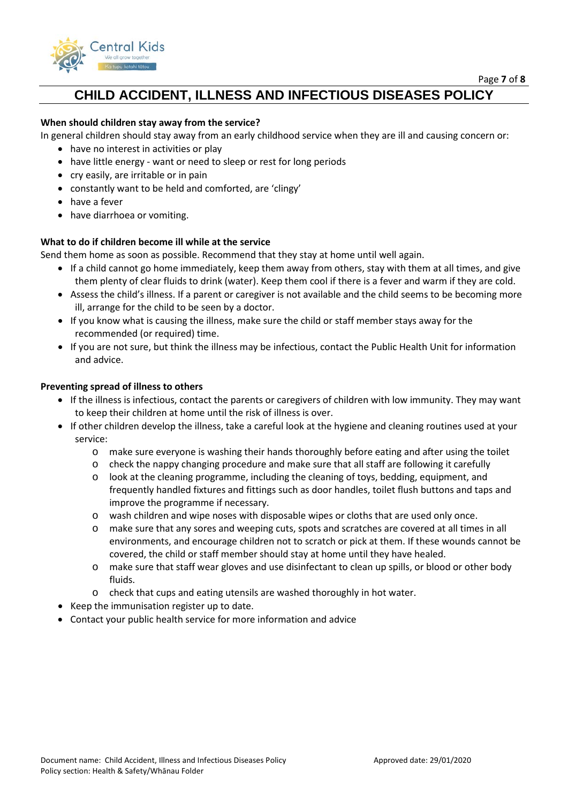

Page **7** of **8**

## **CHILD ACCIDENT, ILLNESS AND INFECTIOUS DISEASES POLICY**

### **When should children stay away from the service?**

In general children should stay away from an early childhood service when they are ill and causing concern or:

- have no interest in activities or play
- have little energy want or need to sleep or rest for long periods
- cry easily, are irritable or in pain
- constantly want to be held and comforted, are 'clingy'
- have a fever
- have diarrhoea or vomiting.

### **What to do if children become ill while at the service**

Send them home as soon as possible. Recommend that they stay at home until well again.

- If a child cannot go home immediately, keep them away from others, stay with them at all times, and give them plenty of clear fluids to drink (water). Keep them cool if there is a fever and warm if they are cold.
- Assess the child's illness. If a parent or caregiver is not available and the child seems to be becoming more ill, arrange for the child to be seen by a doctor.
- If you know what is causing the illness, make sure the child or staff member stays away for the recommended (or required) time.
- If you are not sure, but think the illness may be infectious, contact the Public Health Unit for information and advice.

### **Preventing spread of illness to others**

- If the illness is infectious, contact the parents or caregivers of children with low immunity. They may want to keep their children at home until the risk of illness is over.
- If other children develop the illness, take a careful look at the hygiene and cleaning routines used at your service:
	- o make sure everyone is washing their hands thoroughly before eating and after using the toilet
	- o check the nappy changing procedure and make sure that all staff are following it carefully
	- o look at the cleaning programme, including the cleaning of toys, bedding, equipment, and frequently handled fixtures and fittings such as door handles, toilet flush buttons and taps and improve the programme if necessary.
	- o wash children and wipe noses with disposable wipes or cloths that are used only once.
	- o make sure that any sores and weeping cuts, spots and scratches are covered at all times in all environments, and encourage children not to scratch or pick at them. If these wounds cannot be covered, the child or staff member should stay at home until they have healed.
	- o make sure that staff wear gloves and use disinfectant to clean up spills, or blood or other body fluids.
	- o check that cups and eating utensils are washed thoroughly in hot water.
- Keep the immunisation register up to date.
- Contact your public health service for more information and advice